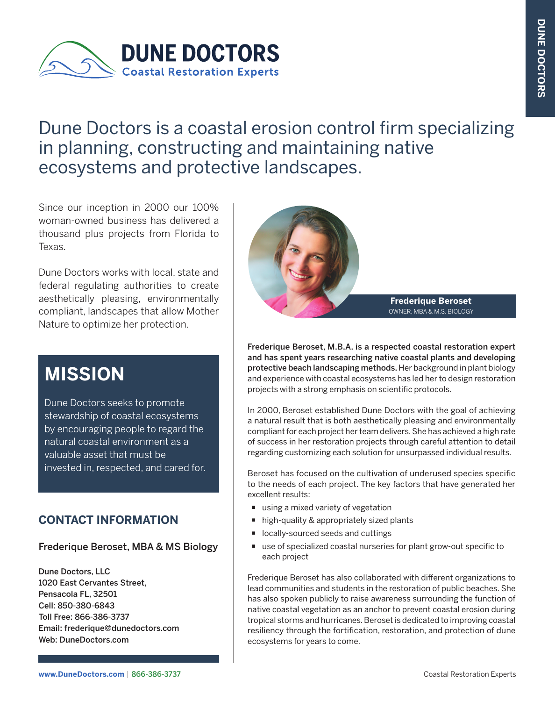

# Dune Doctors is a coastal erosion control firm specializing in planning, constructing and maintaining native ecosystems and protective landscapes.

Since our inception in 2000 our 100% woman-owned business has delivered a thousand plus projects from Florida to Texas.

Dune Doctors works with local, state and federal regulating authorities to create aesthetically pleasing, environmentally compliant, landscapes that allow Mother Nature to optimize her protection.

# **MISSION**

Dune Doctors seeks to promote stewardship of coastal ecosystems by encouraging people to regard the natural coastal environment as a valuable asset that must be invested in, respected, and cared for.

### **CONTACT INFORMATION**

### Frederique Beroset, MBA & MS Biology

Dune Doctors, LLC 1020 East Cervantes Street, Pensacola FL, 32501 Cell: 850-380-6843 Toll Free: 866-386-3737 Email: frederique@dunedoctors.com Web: DuneDoctors.com



**Frederique Beroset** OWNER, MBA & M.S. BIOLOGY

Frederique Beroset, M.B.A. is a respected coastal restoration expert and has spent years researching native coastal plants and developing protective beach landscaping methods. Her background in plant biology and experience with coastal ecosystems has led her to design restoration projects with a strong emphasis on scientific protocols.

In 2000, Beroset established Dune Doctors with the goal of achieving a natural result that is both aesthetically pleasing and environmentally compliant for each project her team delivers. She has achieved a high rate of success in her restoration projects through careful attention to detail regarding customizing each solution for unsurpassed individual results.

Beroset has focused on the cultivation of underused species specific to the needs of each project. The key factors that have generated her excellent results:

- using a mixed variety of vegetation
- high-quality & appropriately sized plants
- ocally-sourced seeds and cuttings
- use of specialized coastal nurseries for plant grow-out specific to each project

Frederique Beroset has also collaborated with different organizations to lead communities and students in the restoration of public beaches. She has also spoken publicly to raise awareness surrounding the function of native coastal vegetation as an anchor to prevent coastal erosion during tropical storms and hurricanes. Beroset is dedicated to improving coastal resiliency through the fortification, restoration, and protection of dune ecosystems for years to come.